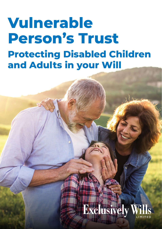# **Vulnerable Person's Trust Protecting Disabled Children and Adults in your Will**

# **Exclusively Wi**

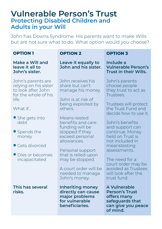# **Vulnerable Person's Trust Protecting Disabled Children and Adults in your Will**

John has Downs Syndrome. His parents want to make Wills but are not sure what to do. What option would you choose?

| <b>OPTION 1</b>                                                                                                                                                                                                                    | <b>OPTION 2</b>                                                                                                                                                                                                                                                                                                                                           | <b>OPTION 3</b>                                                                                                                                                                                                                                                                                                                                                                   |
|------------------------------------------------------------------------------------------------------------------------------------------------------------------------------------------------------------------------------------|-----------------------------------------------------------------------------------------------------------------------------------------------------------------------------------------------------------------------------------------------------------------------------------------------------------------------------------------------------------|-----------------------------------------------------------------------------------------------------------------------------------------------------------------------------------------------------------------------------------------------------------------------------------------------------------------------------------------------------------------------------------|
| Make a Will and<br>leave it all to<br>John's sister.                                                                                                                                                                               | Leave it equally to<br>John and his sister.                                                                                                                                                                                                                                                                                                               | Include a<br><b>Vulnerable Person's</b><br><b>Trust in their Wills.</b>                                                                                                                                                                                                                                                                                                           |
| John's parents are<br>relying on his sister<br>to look after John<br>for the whole of his<br>life.<br>What if<br>$\bullet$ She gets into<br>debt<br>• Spends the<br>money<br>• Gets divorced<br>· Dies or becomes<br>incapacitated | John receives his<br>share but can't<br>manage his money.<br>John is at risk of<br>being exploited by<br>others.<br>Means-tested<br>benefits and care<br>funding will be<br>stopped if they<br>exceed personal<br>allowances.<br>Personal support<br>that is relied upon<br>may be stopped.<br>A court order will be<br>needed to manage<br>John's money. | John's parents<br>choose people<br>they trust to act as<br>Trustees.<br>Trustees will protect<br>the Trust Fund and<br>decide how to use it.<br>John's benefits<br>and support can<br>continue. Money<br>held on Trust is<br>not included in<br>meanstesting<br>assessments.<br>The need for a<br>court order may be<br>avoided as Trustees<br>will look after the<br>trust fund. |
| This has several<br>risks.                                                                                                                                                                                                         | <b>Inheriting money</b><br>directly can cause<br>major problems<br>for vulnerable<br>beneficiaries.                                                                                                                                                                                                                                                       | A Vulnerable<br><b>Person's Trust</b><br>offers many<br>safeguards that<br>can give you peace<br>of mind.                                                                                                                                                                                                                                                                         |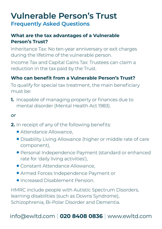# **Vulnerable Person's Trust Frequently Asked Questions**

## **What are the tax advantages of a Vulnerable Person's Trust?**

Inheritance Tax: No ten-year anniversary or exit charges during the lifetime of the vulnerable person.

Income Tax and Capital Gains Tax: Trustees can claim a reduction in the tax paid by the Trust.

## **Who can benefit from a Vulnerable Person's Trust?**

To qualify for special tax treatment, the main beneficiary must be:

**1.** Incapable of managing property or finances due to mental disorder (Mental Health Act 1983).

#### *or*

- **2.** In receipt of any of the following benefits:
	- **Attendance Allowance.**
	- **Disability Living Allowance (higher or middle rate of care** component),
	- l Personal Independence Payment (standard or enhanced rate for 'daily living activities'),
	- **Constant Attendance Allowance,**
	- **Armed Forces Independence Payment or**
	- **Increased Disablement Pension.**

HMRC include people with Autistic Spectrum Disorders, learning disabilities (such as Downs Syndrome), Schizophrenia, Bi-Polar Disorder and Dementia.

# info@ewltd.com l **020 8408 0836** l www.ewltd.com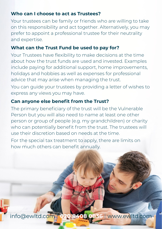## **Who can I choose to act as Trustees?**

Your trustees can be family or friends who are willing to take on this responsibility and act together. Alternatively, you may prefer to appoint a professional trustee for their neutrality and expertise.

### **What can the Trust Fund be used to pay for?**

Your Trustees have flexibility to make decisions at the time about how the trust funds are used and invested. Examples include paying for additional support, home improvements, holidays and hobbies as well as expenses for professional advice that may arise when managing the trust.

You can guide your trustees by providing a letter of wishes to express any views you may have.

### **Can anyone else benefit from the Trust?**

The primary beneficiary of the trust will be the Vulnerable Person but you will also need to name at least one other person or group of people (e.g. my grandchildren) or charity who can potentially benefit from the trust. The trustees will use their discretion based on needs at the time.

For the special tax treatment to apply, there are limits on how much others can benefit annually.

info@ewltd.com l **020 8408 0836** l www.ewltd.com